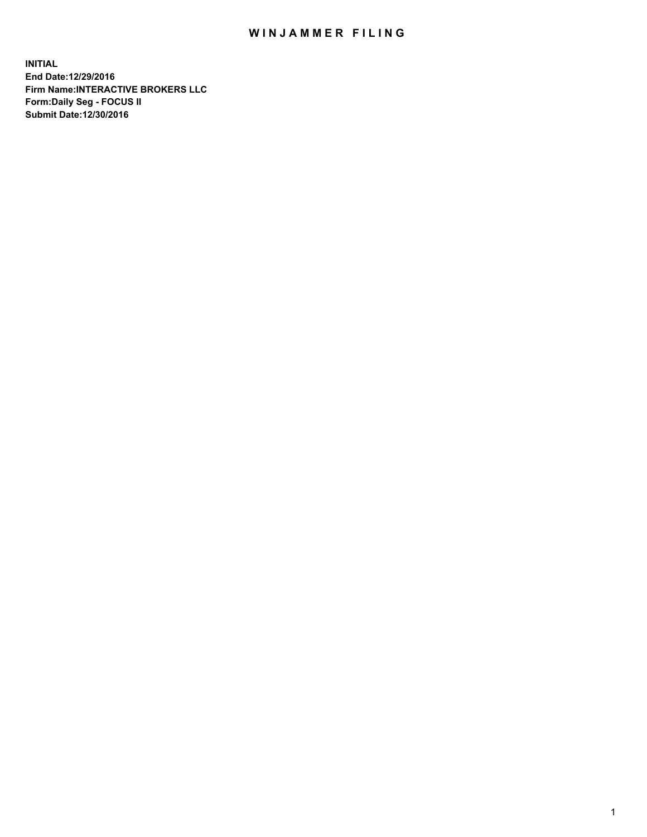## WIN JAMMER FILING

**INITIAL End Date:12/29/2016 Firm Name:INTERACTIVE BROKERS LLC Form:Daily Seg - FOCUS II Submit Date:12/30/2016**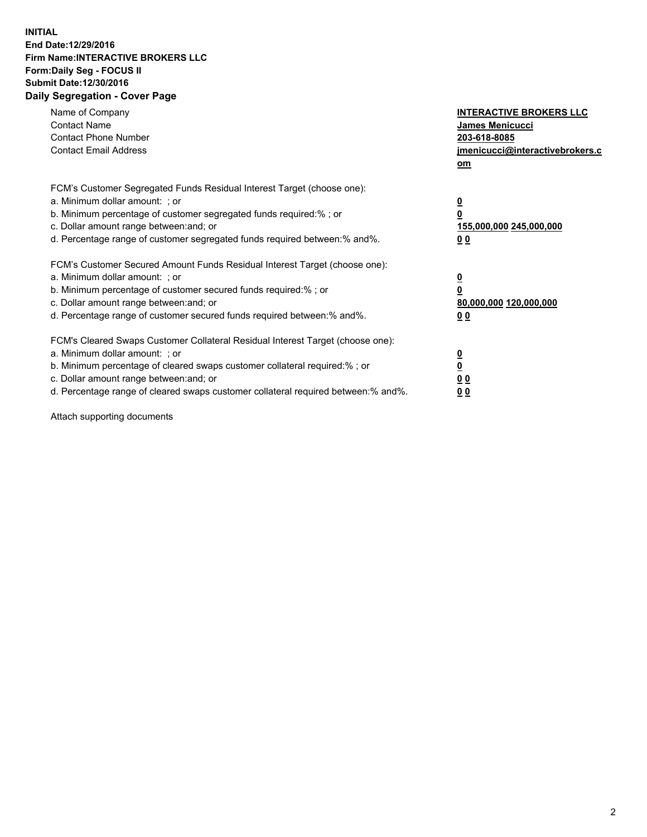## **INITIAL End Date:12/29/2016 Firm Name:INTERACTIVE BROKERS LLC Form:Daily Seg - FOCUS II Submit Date:12/30/2016 Daily Segregation - Cover Page**

| Name of Company<br><b>Contact Name</b><br><b>Contact Phone Number</b><br><b>Contact Email Address</b>                                                                                                                                                                                                                          | <b>INTERACTIVE BROKERS LLC</b><br><b>James Menicucci</b><br>203-618-8085<br>jmenicucci@interactivebrokers.c<br>om |
|--------------------------------------------------------------------------------------------------------------------------------------------------------------------------------------------------------------------------------------------------------------------------------------------------------------------------------|-------------------------------------------------------------------------------------------------------------------|
| FCM's Customer Segregated Funds Residual Interest Target (choose one):<br>a. Minimum dollar amount: ; or<br>b. Minimum percentage of customer segregated funds required:%; or<br>c. Dollar amount range between: and; or<br>d. Percentage range of customer segregated funds required between:% and%.                          | $\overline{\mathbf{0}}$<br>0<br>155,000,000 245,000,000<br>0 <sub>0</sub>                                         |
| FCM's Customer Secured Amount Funds Residual Interest Target (choose one):<br>a. Minimum dollar amount: ; or<br>b. Minimum percentage of customer secured funds required:%; or<br>c. Dollar amount range between: and; or<br>d. Percentage range of customer secured funds required between: % and %.                          | $\overline{\mathbf{0}}$<br>0<br>80,000,000 120,000,000<br>0 <sub>0</sub>                                          |
| FCM's Cleared Swaps Customer Collateral Residual Interest Target (choose one):<br>a. Minimum dollar amount: ; or<br>b. Minimum percentage of cleared swaps customer collateral required:% ; or<br>c. Dollar amount range between: and; or<br>d. Percentage range of cleared swaps customer collateral required between:% and%. | $\overline{\mathbf{0}}$<br>$\overline{\mathbf{0}}$<br>0 <sub>0</sub><br><u>00</u>                                 |

Attach supporting documents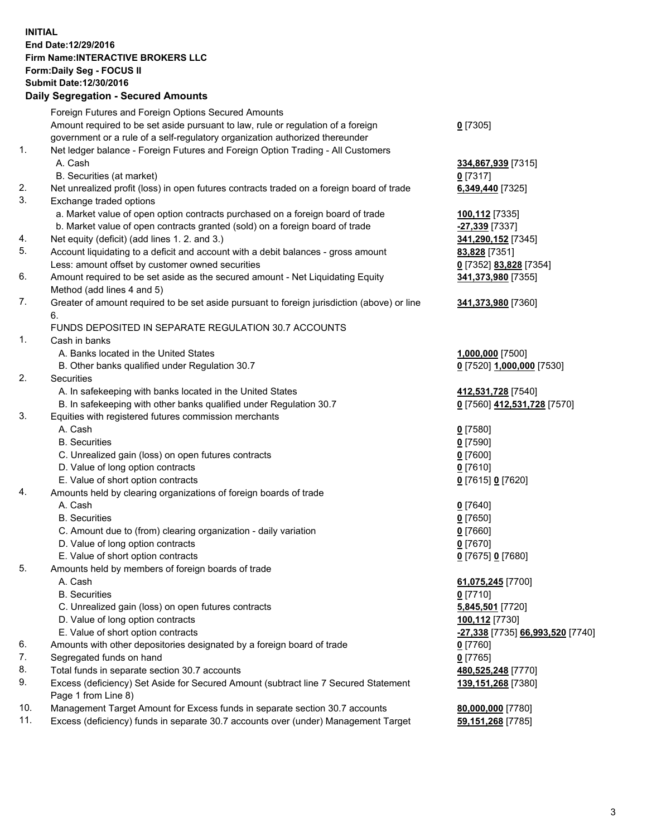## **INITIAL End Date:12/29/2016 Firm Name:INTERACTIVE BROKERS LLC Form:Daily Seg - FOCUS II Submit Date:12/30/2016 Daily Segregation - Secured Amounts**

|     | Daily Jegregation - Jeculed Aniounts                                                                       |                                  |
|-----|------------------------------------------------------------------------------------------------------------|----------------------------------|
|     | Foreign Futures and Foreign Options Secured Amounts                                                        |                                  |
|     | Amount required to be set aside pursuant to law, rule or regulation of a foreign                           | $0$ [7305]                       |
|     | government or a rule of a self-regulatory organization authorized thereunder                               |                                  |
| 1.  | Net ledger balance - Foreign Futures and Foreign Option Trading - All Customers                            |                                  |
|     | A. Cash                                                                                                    | 334,867,939 [7315]               |
|     | B. Securities (at market)                                                                                  | 0 [7317]                         |
| 2.  | Net unrealized profit (loss) in open futures contracts traded on a foreign board of trade                  | 6,349,440 [7325]                 |
| 3.  | Exchange traded options                                                                                    |                                  |
|     | a. Market value of open option contracts purchased on a foreign board of trade                             | 100,112 [7335]                   |
|     | b. Market value of open contracts granted (sold) on a foreign board of trade                               | -27,339 [7337]                   |
| 4.  | Net equity (deficit) (add lines 1. 2. and 3.)                                                              | 341,290,152 [7345]               |
| 5.  | Account liquidating to a deficit and account with a debit balances - gross amount                          | 83,828 [7351]                    |
|     | Less: amount offset by customer owned securities                                                           | 0 [7352] 83,828 [7354]           |
| 6.  | Amount required to be set aside as the secured amount - Net Liquidating Equity                             | 341,373,980 [7355]               |
|     | Method (add lines 4 and 5)                                                                                 |                                  |
| 7.  | Greater of amount required to be set aside pursuant to foreign jurisdiction (above) or line                | 341,373,980 [7360]               |
|     | 6.                                                                                                         |                                  |
|     | FUNDS DEPOSITED IN SEPARATE REGULATION 30.7 ACCOUNTS                                                       |                                  |
| 1.  | Cash in banks                                                                                              |                                  |
|     | A. Banks located in the United States                                                                      | 1,000,000 [7500]                 |
|     | B. Other banks qualified under Regulation 30.7                                                             | 0 [7520] 1,000,000 [7530]        |
| 2.  | Securities                                                                                                 |                                  |
|     | A. In safekeeping with banks located in the United States                                                  | 412,531,728 [7540]               |
|     | B. In safekeeping with other banks qualified under Regulation 30.7                                         | 0 [7560] 412,531,728 [7570]      |
| 3.  | Equities with registered futures commission merchants                                                      |                                  |
|     | A. Cash                                                                                                    | $0$ [7580]                       |
|     | <b>B.</b> Securities                                                                                       | $0$ [7590]                       |
|     | C. Unrealized gain (loss) on open futures contracts                                                        | $0$ [7600]                       |
|     | D. Value of long option contracts                                                                          | $0$ [7610]                       |
|     | E. Value of short option contracts                                                                         | 0 [7615] 0 [7620]                |
| 4.  | Amounts held by clearing organizations of foreign boards of trade                                          |                                  |
|     | A. Cash                                                                                                    | $0$ [7640]                       |
|     | <b>B.</b> Securities                                                                                       | $0$ [7650]                       |
|     | C. Amount due to (from) clearing organization - daily variation                                            | $0$ [7660]                       |
|     | D. Value of long option contracts                                                                          | $0$ [7670]                       |
|     | E. Value of short option contracts                                                                         | 0 [7675] 0 [7680]                |
| 5.  | Amounts held by members of foreign boards of trade                                                         |                                  |
|     | A. Cash                                                                                                    | 61,075,245 [7700]                |
|     | <b>B.</b> Securities                                                                                       | $0$ [7710]                       |
|     | C. Unrealized gain (loss) on open futures contracts                                                        | 5,845,501 [7720]                 |
|     | D. Value of long option contracts                                                                          | 100,112 [7730]                   |
|     | E. Value of short option contracts                                                                         | -27,338 [7735] 66,993,520 [7740] |
| 6.  | Amounts with other depositories designated by a foreign board of trade                                     | 0 [7760]                         |
| 7.  | Segregated funds on hand                                                                                   | $0$ [7765]                       |
| 8.  | Total funds in separate section 30.7 accounts                                                              | 480,525,248 [7770]               |
| 9.  | Excess (deficiency) Set Aside for Secured Amount (subtract line 7 Secured Statement<br>Page 1 from Line 8) | 139, 151, 268 [7380]             |
| 10. | Management Target Amount for Excess funds in separate section 30.7 accounts                                | 80,000,000 [7780]                |
| 11. | Excess (deficiency) funds in separate 30.7 accounts over (under) Management Target                         | 59,151,268 [7785]                |
|     |                                                                                                            |                                  |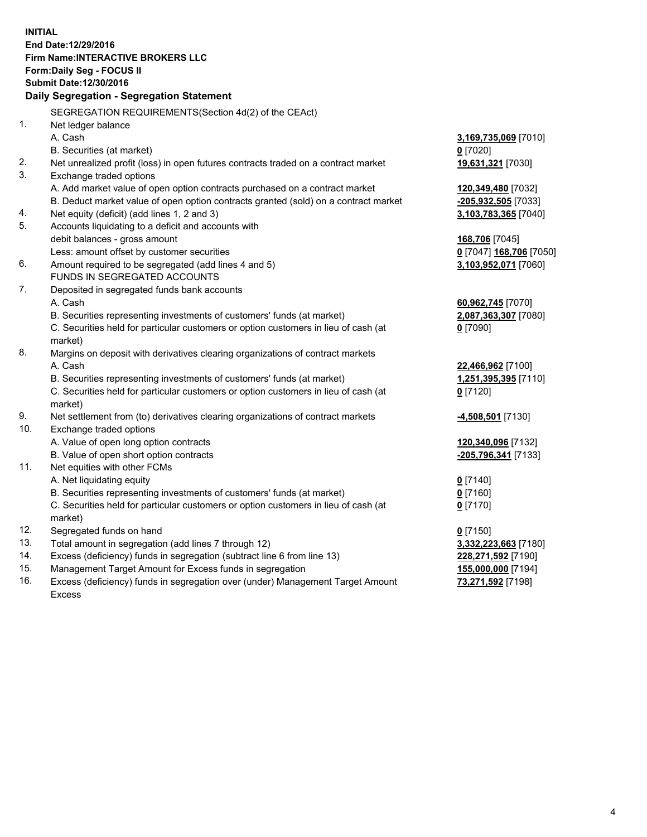**INITIAL End Date:12/29/2016 Firm Name:INTERACTIVE BROKERS LLC Form:Daily Seg - FOCUS II Submit Date:12/30/2016 Daily Segregation - Segregation Statement** SEGREGATION REQUIREMENTS(Section 4d(2) of the CEAct) 1. Net ledger balance A. Cash **3,169,735,069** [7010] B. Securities (at market) **0** [7020] 2. Net unrealized profit (loss) in open futures contracts traded on a contract market **19,631,321** [7030] 3. Exchange traded options A. Add market value of open option contracts purchased on a contract market **120,349,480** [7032] B. Deduct market value of open option contracts granted (sold) on a contract market **-205,932,505** [7033] 4. Net equity (deficit) (add lines 1, 2 and 3) **3,103,783,365** [7040] 5. Accounts liquidating to a deficit and accounts with debit balances - gross amount **168,706** [7045] Less: amount offset by customer securities **0** [7047] **168,706** [7050] 6. Amount required to be segregated (add lines 4 and 5) **3,103,952,071** [7060] FUNDS IN SEGREGATED ACCOUNTS 7. Deposited in segregated funds bank accounts A. Cash **60,962,745** [7070] B. Securities representing investments of customers' funds (at market) **2,087,363,307** [7080] C. Securities held for particular customers or option customers in lieu of cash (at market) **0** [7090] 8. Margins on deposit with derivatives clearing organizations of contract markets A. Cash **22,466,962** [7100] B. Securities representing investments of customers' funds (at market) **1,251,395,395** [7110] C. Securities held for particular customers or option customers in lieu of cash (at market) **0** [7120] 9. Net settlement from (to) derivatives clearing organizations of contract markets **-4,508,501** [7130] 10. Exchange traded options A. Value of open long option contracts **120,340,096** [7132] B. Value of open short option contracts **-205,796,341** [7133] 11. Net equities with other FCMs A. Net liquidating equity **0** [7140] B. Securities representing investments of customers' funds (at market) **0** [7160] C. Securities held for particular customers or option customers in lieu of cash (at market) **0** [7170] 12. Segregated funds on hand **0** [7150] 13. Total amount in segregation (add lines 7 through 12) **3,332,223,663** [7180] 14. Excess (deficiency) funds in segregation (subtract line 6 from line 13) **228,271,592** [7190] 15. Management Target Amount for Excess funds in segregation **155,000,000** [7194]

16. Excess (deficiency) funds in segregation over (under) Management Target Amount Excess

**73,271,592** [7198]